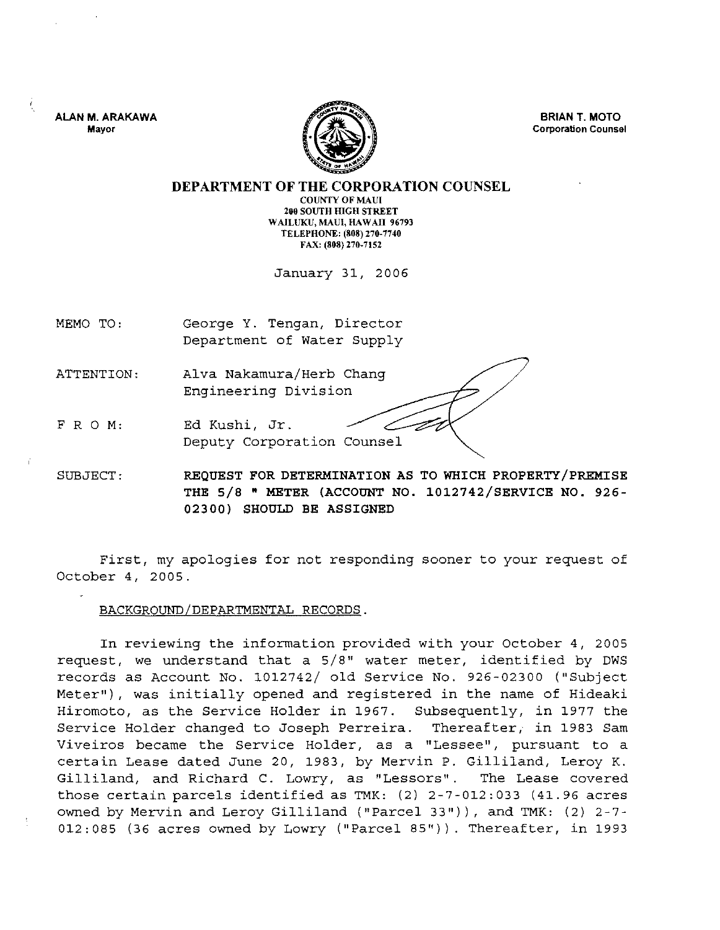ALAN M. ARAKAWA **Mayor** 



BRIAN T. MOTO **Corporation Counsel** 

DEPARTMENT OF THE CORPORATION COUNSEL COUNTY OF MAUl 200 SOUTH HIGH STREET WAILUKU, MAUl, HAWAII 96793 TELEPHONE: (808) 270·7740 FAX: (808) 270-7152

January 31, 2006

MEMO TO: George Y. Tengan, Director Department of Water Supply

ATTENTION: Alva Nakamura/Herb Chang Engineering Division

FRO M: Ed Kushi, Jr. Deputy Corporation Counsel

SUBJECT: REQUEST FOR DETERMINATION AS TO WHICH PROPERTY/PREMISE THE 5/8 • METER (ACCOUNT NO. 1012742/SERVICE NO. 926- 02300) SHOULD BE ASSIGNED

First, my apologies for not responding sooner to your request of October 4, 2005.

## BACKGROUND/DEPARTMENTAL RECORDS.

In reviewing the information provided with your October 4, 2005 request, we understand that a 5/8" water meter, identified by DWS records as Account No. 1012742/ old Service No. 926-02300 ("Subject Meter"), was initially opened and registered in the name of Hideaki Hiromoto, as the Service Holder in 1967. Subsequently, in 1977 the Service Holder changed to Joseph Perreira. Thereafter, in 1983 Sam Vi veiros became the Service Holder, as a "Lessee", pursuant to a certain Lease dated June 20, 1983, by Mervin P. Gilliland, Leroy K. Gilliland, and Richard C. LOWry, as "Lessors". The Lease covered those certain parcels identified as TMK: (2) 2-7-012:033 (41.96 acres owned by Mervin and Leroy Gilliland ("Parcel 33")), and TMK: (2) 2-7-012:085 (36 acres owned by Lowry ("Parcel 85")). Thereafter, in 1993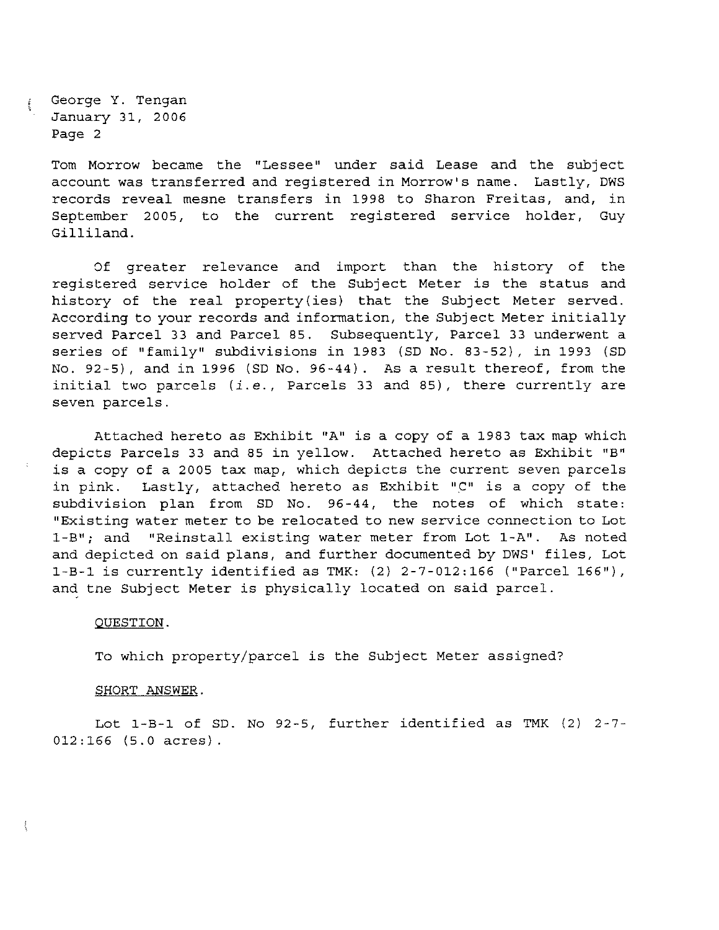George Y. Tengan January 31, 2006 Page 2

> Tom Morrow became the "Lessee" under said Lease and the subject account was transferred and registered in Morrow's name. Lastly, DWS records reveal mesne transfers in 1998 to Sharon Freitas, and, in September 2005, to the current registered service holder, Guy Gilliland.

> Of greater relevance and import than the history of the registered service holder of the Subject Meter is the status and history of the real property (ies) that the Subject Meter served. According to your records and information, the Subject Meter initially served Parcel 33 and Parcel 85. Subsequently, Parcel 33 underwent a series of "family" subdivisions in 1983 (SD No. 83-52), in 1993 (SD No. 92-5), and in 1996 (SD No. 96-44). As a result thereof, from the initial two parcels *(i.e.,* Parcels 33 and 85), there currently are seven parcels.

> Attached hereto as Exhibit "A" is a copy of a 1983 tax map which depicts Parcels 33 and 85 in yellow. Attached hereto as Exhibit "B" is a copy of a 2005 tax map, which depicts the current seven parcels in pink. Lastly, attached hereto as Exhibit "C" is a copy of the subdivision plan from SD No. 96-44, the notes of which state: "Existing water meter to be relocated to new service connection to Lot I-B"; and "Reinstall existing water meter from Lot I-A". As noted and depicted on said plans, and further documented by DWS' files, Lot I-B-l is currently identified as TMK: (2) 2-7-012:166 ("Parcel 166"), and tne Subject Meter is physically located on said parcel.

## QUESTION.

To which property/parcel is the Subject Meter assigned?

## SHORT ANSWER.

Lot I-B-l of SD. No 92-5, further identified as TMK (2) 2-7- 012:166 (5.0 acres).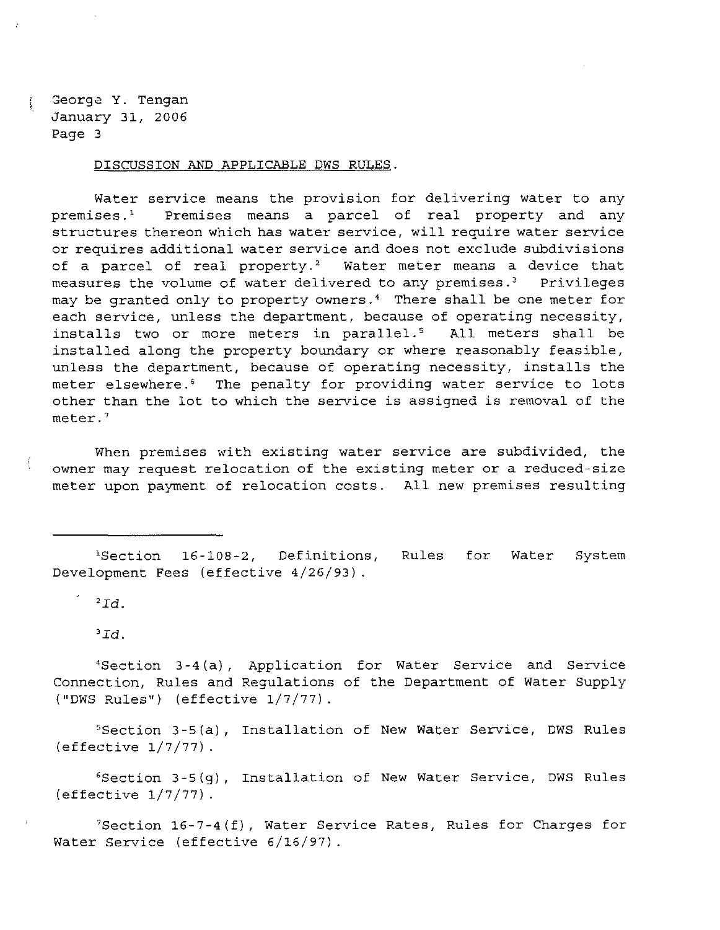George Y. Tengan January 31, 2006 Page 3

DISCUSSION AND APPLICABLE DWS RULES.

Water service means the provision for delivering water to any premises.<sup>1</sup> Premises means a parcel of real property and any structures thereon which has water service, will require water service or requires additional water service and does not exclude subdivisions of a parcel of real property.<sup>2</sup> Water meter means a device that measures the volume of water delivered to any premises.' Privileges may be granted only to property owners.<sup>4</sup> There shall be one meter for each service, unless the department, because of operating necessity, installs two or more meters in parallel.<sup>5</sup> All meters shall be installed along the property boundary or where reasonably feasible, unless the department, because of operating necessity, installs the meter elsewhere.<sup>6</sup> The penalty for providing water service to lots other than the lot to which the service is assigned is removal of the meter. 7

When premises with existing water service are subdivided, the owner may request relocation of the existing meter or a reduced-size meter upon payment of relocation costs. All new premises resulting

'Section 16-108-2, Definitions, Development Fees (effective 4/26/93) . Rules for Water System

 $2Id.$ 

*'Id.* 

'Section 3-4 (a), Application for Water Service and Service Connection, Rules and Regulations of the Department of Water Supply ("DWS Rules") (effective 1/7/77).

'Section 3-5(a), Installation of New Water Service, DWS Rules (effective  $1/7/77$ ).

6Section 3-5(g), Installation of New Water Service, DWS Rules (effective  $1/7/77$ ).

 $7$ Section 16-7-4(f), Water Service Rates, Rules for Charges for Water Service (effective 6/16/97) .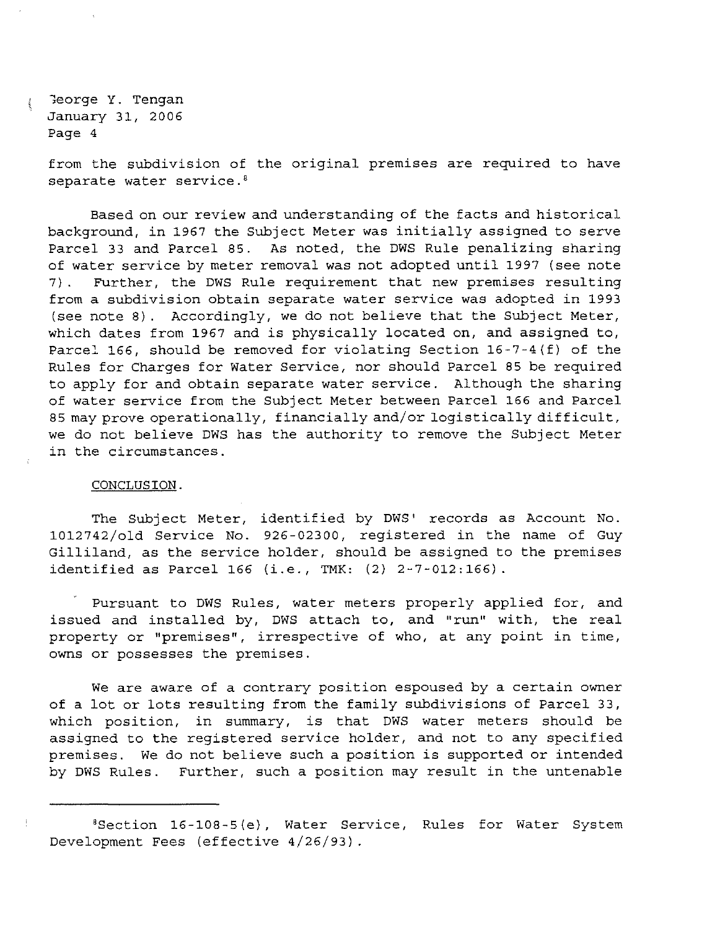George Y. Tengan January 31, 2006 Page 4

from the subdivision of the original premises are required to have separate water service.<sup>8</sup>

Based on our review and understanding of the facts and historical background, in 1967 the Subject Meter was initially assigned to serve Parcel 33 and Parcel 85. As noted, the DWS Rule penalizing sharing of water service by meter removal was not adopted until 1997 (see note 7). Further, the DWS Rule requirement that new premises resulting from a subdivision obtain separate water service was adopted in 1993 (see note 8). Accordingly, we do not believe that the Subject Meter, which dates from 1967 and is physically located on, and assigned to, Parcel 166, should be removed for violating Section 16-7-4(f) of the Rules for Charges for Water Service, nor should Parcel 85 be required to apply for and obtain separate water service. Although the sharing of water service from the Subject Meter between Parcel 166 and Parcel 85 may prove operationally, financially and/or logistically difficult, we do not believe DWS has the authority to remove the Subject Meter in the circumstances.

## CONCLUSION.

The Subject Meter, identified by DWS' records as Account No. 1012742/o1d Service No. 926-02300, registered in the name of Guy Gilliland, as the service holder, should be assigned to the premises identified as Parcel 166 (i.e., TMK: (2) 2-7-012:166).

Pursuant to DWS Rules, water meters properly applied for, and issued and installed by, DWS attach to, and "run" with, the real property or "premises", irrespective of who, at any point in time, owns or possesses the premises.

We are aware of a contrary position espoused by a certain owner of a lot or lots resulting from the family subdivisions of Parcel 33, which position, in summary, is that DWS water meters should be assigned to the registered service holder, and not to any specified premises. We do not believe such a position is supported or intended by DWS Rules. Further, such a position may result in the untenable

<sup>&#</sup>x27;Section 16-108-5 (e), Water Service, Rules for Water System Development Fees (effective 4/26/93) .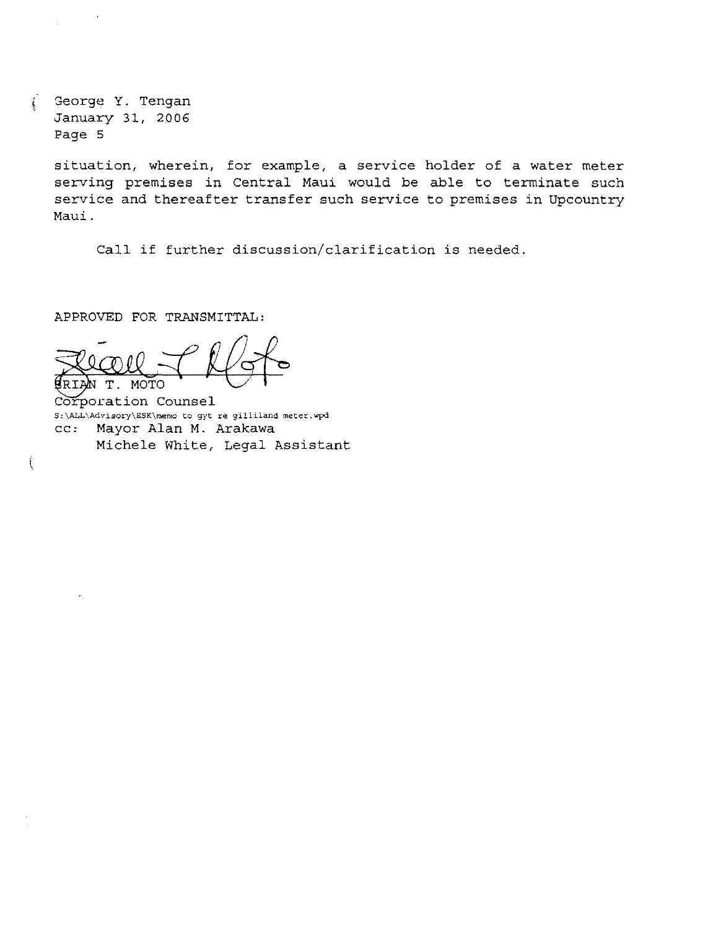George Y. Tengan January 31, 2006 Page 5

 $\bullet$ 

 $\mathbf{C}$ 

ţ

situation, wherein, for example, a service holder of a water meter serving premises in Central Maui would be able to terminate such service and thereafter transfer such service to premises in Upcountry Maui.

Call if further discussion/clarification is needed.

APPROVED FOR TRANSMITTAL:

Record Koto

Corporation Counsel **S:\ALL\Advi90ry\ESK\memo to gyt re gilliland meter.wpd**  cc: Mayor Alan M. Arakawa Michele White, Legal Assistant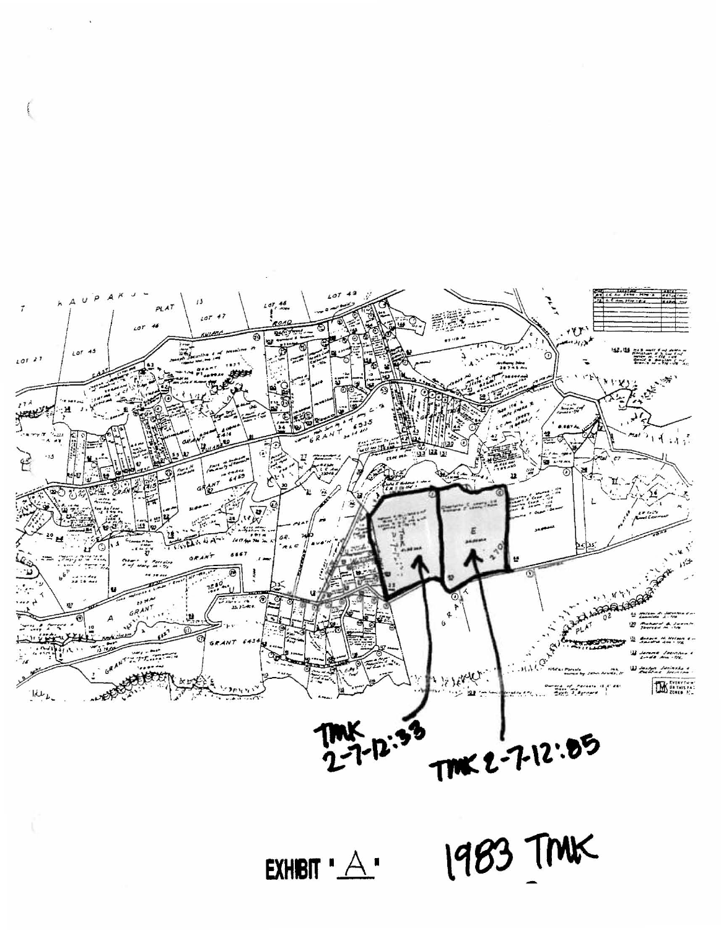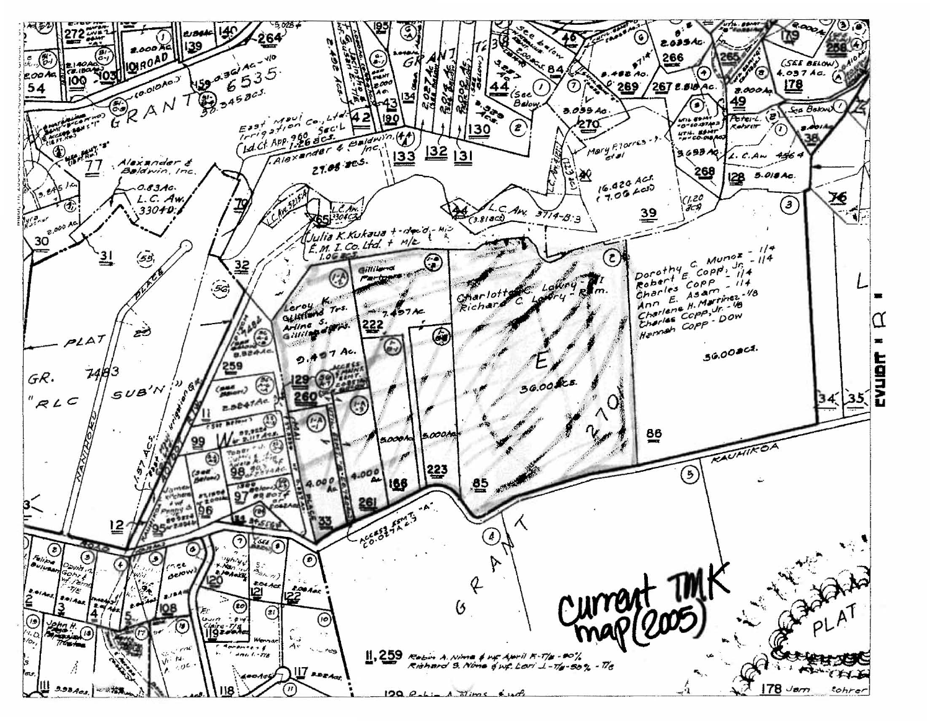